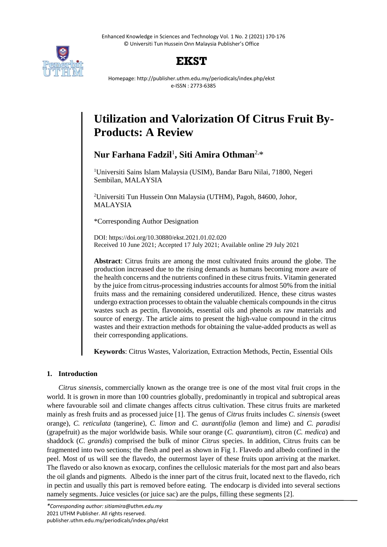Enhanced Knowledge in Sciences and Technology Vol. 1 No. 2 (2021) 170-176 © Universiti Tun Hussein Onn Malaysia Publisher's Office



## **EKST**

Homepage: http://publisher.uthm.edu.my/periodicals/index.php/ekst e-ISSN : 2773-6385

# **Utilization and Valorization Of Citrus Fruit By-Products: A Review**

**Nur Farhana Fadzil**<sup>1</sup> **, Siti Amira Othman**2,\*

<sup>1</sup>Universiti Sains Islam Malaysia (USIM), Bandar Baru Nilai, 71800, Negeri Sembilan, MALAYSIA

<sup>2</sup>Universiti Tun Hussein Onn Malaysia (UTHM), Pagoh, 84600, Johor, MALAYSIA

\*Corresponding Author Designation

DOI: https://doi.org/10.30880/ekst.2021.01.02.020 Received 10 June 2021; Accepted 17 July 2021; Available online 29 July 2021

**Abstract**: Citrus fruits are among the most cultivated fruits around the globe. The production increased due to the rising demands as humans becoming more aware of the health concerns and the nutrients confined in these citrus fruits. Vitamin generated by the juice from citrus-processing industries accounts for almost 50% from the initial fruits mass and the remaining considered underutilized. Hence, these citrus wastes undergo extraction processes to obtain the valuable chemicals compounds in the citrus wastes such as pectin, flavonoids, essential oils and phenols as raw materials and source of energy. The article aims to present the high-value compound in the citrus wastes and their extraction methods for obtaining the value-added products as well as their corresponding applications.

**Keywords**: Citrus Wastes, Valorization, Extraction Methods, Pectin, Essential Oils

## **1. Introduction**

*Citrus sinensis*, commercially known as the orange tree is one of the most vital fruit crops in the world. It is grown in more than 100 countries globally, predominantly in tropical and subtropical areas where favourable soil and climate changes affects citrus cultivation. These citrus fruits are marketed mainly as fresh fruits and as processed juice [1]. The genus of *Citrus* fruits includes *C. sinensis* (sweet orange), *C. reticulata* (tangerine), *C. limon* and *C. aurantifolia* (lemon and lime) and *C. paradisi* (grapefruit) as the major worldwide basis. While sour orange (*C. quarantium*), citron (*C. medica*) and shaddock (*C. grandis*) comprised the bulk of minor *Citrus* species. In addition, Citrus fruits can be fragmented into two sections; the flesh and peel as shown in Fig 1. Flavedo and albedo confined in the peel. Most of us will see the flavedo, the outermost layer of these fruits upon arriving at the market. The flavedo or also known as exocarp, confines the cellulosic materials for the most part and also bears the oil glands and pigments. Albedo is the inner part of the citrus fruit, located next to the flavedo, rich in pectin and usually this part is removed before eating. The endocarp is divided into several sections namely segments. Juice vesicles (or juice sac) are the pulps, filling these segments [2].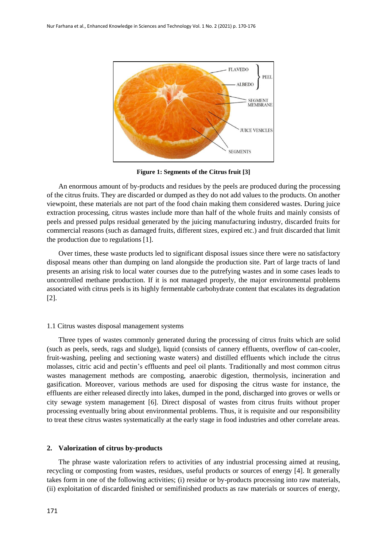

**Figure 1: Segments of the Citrus fruit [3]**

An enormous amount of by-products and residues by the peels are produced during the processing of the citrus fruits. They are discarded or dumped as they do not add values to the products. On another viewpoint, these materials are not part of the food chain making them considered wastes. During juice extraction processing, citrus wastes include more than half of the whole fruits and mainly consists of peels and pressed pulps residual generated by the juicing manufacturing industry, discarded fruits for commercial reasons (such as damaged fruits, different sizes, expired etc.) and fruit discarded that limit the production due to regulations [1].

Over times, these waste products led to significant disposal issues since there were no satisfactory disposal means other than dumping on land alongside the production site. Part of large tracts of land presents an arising risk to local water courses due to the putrefying wastes and in some cases leads to uncontrolled methane production. If it is not managed properly, the major environmental problems associated with citrus peels is its highly fermentable carbohydrate content that escalates its degradation [2].

#### 1.1 Citrus wastes disposal management systems

Three types of wastes commonly generated during the processing of citrus fruits which are solid (such as peels, seeds, rags and sludge), liquid (consists of cannery effluents, overflow of can-cooler, fruit-washing, peeling and sectioning waste waters) and distilled effluents which include the citrus molasses, citric acid and pectin's effluents and peel oil plants. Traditionally and most common citrus wastes management methods are composting, anaerobic digestion, thermolysis, incineration and gasification. Moreover, various methods are used for disposing the citrus waste for instance, the effluents are either released directly into lakes, dumped in the pond, discharged into groves or wells or city sewage system management [6]. Direct disposal of wastes from citrus fruits without proper processing eventually bring about environmental problems. Thus, it is requisite and our responsibility to treat these citrus wastes systematically at the early stage in food industries and other correlate areas.

#### **2. Valorization of citrus by-products**

The phrase waste valorization refers to activities of any industrial processing aimed at reusing, recycling or composting from wastes, residues, useful products or sources of energy [4]. It generally takes form in one of the following activities; (i) residue or by-products processing into raw materials, (ii) exploitation of discarded finished or semifinished products as raw materials or sources of energy,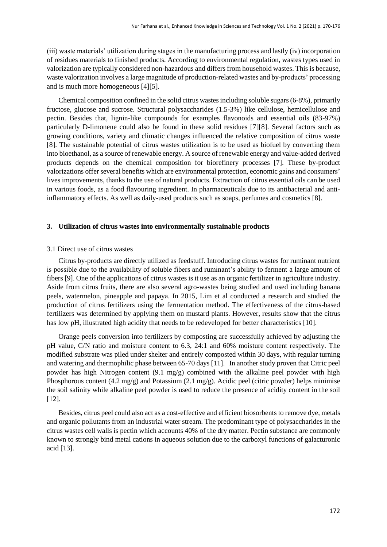(iii) waste materials' utilization during stages in the manufacturing process and lastly (iv) incorporation of residues materials to finished products. According to environmental regulation, wastes types used in valorization are typically considered non-hazardous and differs from household wastes. This is because, waste valorization involves a large magnitude of production-related wastes and by-products' processing and is much more homogeneous [4][5].

Chemical composition confined in the solid citrus wastes including soluble sugars (6-8%), primarily fructose, glucose and sucrose. Structural polysaccharides (1.5-3%) like cellulose, hemicellulose and pectin. Besides that, lignin-like compounds for examples flavonoids and essential oils (83-97%) particularly D-limonene could also be found in these solid residues [7][8]. Several factors such as growing conditions, variety and climatic changes influenced the relative composition of citrus waste [8]. The sustainable potential of citrus wastes utilization is to be used as biofuel by converting them into bioethanol, as a source of renewable energy. A source of renewable energy and value-added derived products depends on the chemical composition for biorefinery processes [7]. These by-product valorizations offer several benefits which are environmental protection, economic gains and consumers' lives improvements, thanks to the use of natural products. Extraction of citrus essential oils can be used in various foods, as a food flavouring ingredient. In pharmaceuticals due to its antibacterial and antiinflammatory effects. As well as daily-used products such as soaps, perfumes and cosmetics [8].

#### **3. Utilization of citrus wastes into environmentally sustainable products**

#### 3.1 Direct use of citrus wastes

Citrus by-products are directly utilized as feedstuff. Introducing citrus wastes for ruminant nutrient is possible due to the availability of soluble fibers and ruminant's ability to ferment a large amount of fibers [9]. One of the applications of citrus wastes is it use as an organic fertilizer in agriculture industry. Aside from citrus fruits, there are also several agro-wastes being studied and used including banana peels, watermelon, pineapple and papaya. In 2015, Lim et al conducted a research and studied the production of citrus fertilizers using the fermentation method. The effectiveness of the citrus-based fertilizers was determined by applying them on mustard plants. However, results show that the citrus has low pH, illustrated high acidity that needs to be redeveloped for better characteristics [10].

Orange peels conversion into fertilizers by composting are successfully achieved by adjusting the pH value, C/N ratio and moisture content to 6.3, 24:1 and 60% moisture content respectively. The modified substrate was piled under shelter and entirely composted within 30 days, with regular turning and watering and thermophilic phase between 65-70 days [11]. In another study proven that Citric peel powder has high Nitrogen content (9.1 mg/g) combined with the alkaline peel powder with high Phosphorous content (4.2 mg/g) and Potassium (2.1 mg/g). Acidic peel (citric powder) helps minimise the soil salinity while alkaline peel powder is used to reduce the presence of acidity content in the soil [12].

Besides, citrus peel could also act as a cost-effective and efficient biosorbents to remove dye, metals and organic pollutants from an industrial water stream. The predominant type of polysaccharides in the citrus wastes cell walls is pectin which accounts 40% of the dry matter. Pectin substance are commonly known to strongly bind metal cations in aqueous solution due to the carboxyl functions of galacturonic acid [13].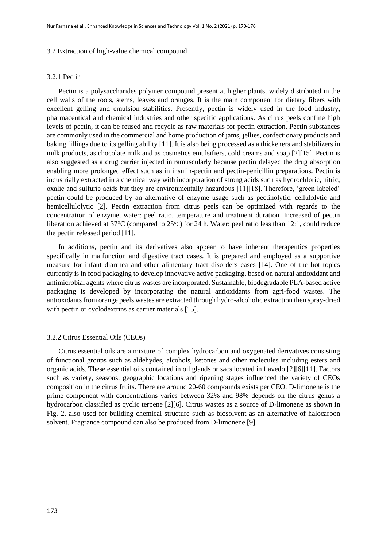#### 3.2 Extraction of high-value chemical compound

## 3.2.1 Pectin

Pectin is a polysaccharides polymer compound present at higher plants, widely distributed in the cell walls of the roots, stems, leaves and oranges. It is the main component for dietary fibers with excellent gelling and emulsion stabilities. Presently, pectin is widely used in the food industry, pharmaceutical and chemical industries and other specific applications. As citrus peels confine high levels of pectin, it can be reused and recycle as raw materials for pectin extraction. Pectin substances are commonly used in the commercial and home production of jams, jellies, confectionary products and baking fillings due to its gelling ability [11]. It is also being processed as a thickeners and stabilizers in milk products, as chocolate milk and as cosmetics emulsifiers, cold creams and soap [2][15]. Pectin is also suggested as a drug carrier injected intramuscularly because pectin delayed the drug absorption enabling more prolonged effect such as in insulin-pectin and pectin-penicillin preparations. Pectin is industrially extracted in a chemical way with incorporation of strong acids such as hydrochloric, nitric, oxalic and sulfuric acids but they are environmentally hazardous [11][18]. Therefore, 'green labeled' pectin could be produced by an alternative of enzyme usage such as pectinolytic, cellulolytic and hemicellulolytic [2]. Pectin extraction from citrus peels can be optimized with regards to the concentration of enzyme, water: peel ratio, temperature and treatment duration. Increased of pectin liberation achieved at 37°C (compared to 25°C) for 24 h. Water: peel ratio less than 12:1, could reduce the pectin released period [11].

In additions, pectin and its derivatives also appear to have inherent therapeutics properties specifically in malfunction and digestive tract cases. It is prepared and employed as a supportive measure for infant diarrhea and other alimentary tract disorders cases [14]. One of the hot topics currently is in food packaging to develop innovative active packaging, based on natural antioxidant and antimicrobial agents where citrus wastes are incorporated. Sustainable, biodegradable PLA-based active packaging is developed by incorporating the natural antioxidants from agri-food wastes. The antioxidants from orange peels wastes are extracted through hydro-alcoholic extraction then spray-dried with pectin or cyclodextrins as carrier materials [15].

#### 3.2.2 Citrus Essential Oils (CEOs)

Citrus essential oils are a mixture of complex hydrocarbon and oxygenated derivatives consisting of functional groups such as aldehydes, alcohols, ketones and other molecules including esters and organic acids. These essential oils contained in oil glands or sacs located in flavedo [2][6][11]. Factors such as variety, seasons, geographic locations and ripening stages influenced the variety of CEOs composition in the citrus fruits. There are around 20-60 compounds exists per CEO. D-limonene is the prime component with concentrations varies between 32% and 98% depends on the citrus genus a hydrocarbon classified as cyclic terpene [2][6]. Citrus wastes as a source of D-limonene as shown in Fig. 2, also used for building chemical structure such as biosolvent as an alternative of halocarbon solvent. Fragrance compound can also be produced from D-limonene [9].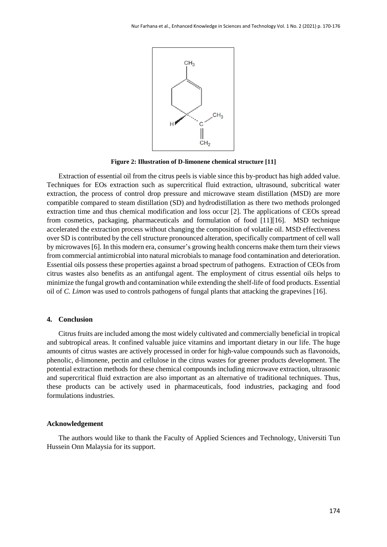

**Figure 2: Illustration of D-limonene chemical structure [11]**

Extraction of essential oil from the citrus peels is viable since this by-product has high added value. Techniques for EOs extraction such as supercritical fluid extraction, ultrasound, subcritical water extraction, the process of control drop pressure and microwave steam distillation (MSD) are more compatible compared to steam distillation (SD) and hydrodistillation as there two methods prolonged extraction time and thus chemical modification and loss occur [2]. The applications of CEOs spread from cosmetics, packaging, pharmaceuticals and formulation of food [11][16]. MSD technique accelerated the extraction process without changing the composition of volatile oil. MSD effectiveness over SD is contributed by the cell structure pronounced alteration, specifically compartment of cell wall by microwaves [6]. In this modern era, consumer's growing health concerns make them turn their views from commercial antimicrobial into natural microbials to manage food contamination and deterioration. Essential oils possess these properties against a broad spectrum of pathogens. Extraction of CEOs from citrus wastes also benefits as an antifungal agent. The employment of citrus essential oils helps to minimize the fungal growth and contamination while extending the shelf-life of food products. Essential oil of *C. Limon* was used to controls pathogens of fungal plants that attacking the grapevines [16].

#### **4. Conclusion**

Citrus fruits are included among the most widely cultivated and commercially beneficial in tropical and subtropical areas. It confined valuable juice vitamins and important dietary in our life. The huge amounts of citrus wastes are actively processed in order for high-value compounds such as flavonoids, phenolic, d-limonene, pectin and cellulose in the citrus wastes for greener products development. The potential extraction methods for these chemical compounds including microwave extraction, ultrasonic and supercritical fluid extraction are also important as an alternative of traditional techniques. Thus, these products can be actively used in pharmaceuticals, food industries, packaging and food formulations industries.

#### **Acknowledgement**

The authors would like to thank the Faculty of Applied Sciences and Technology, Universiti Tun Hussein Onn Malaysia for its support.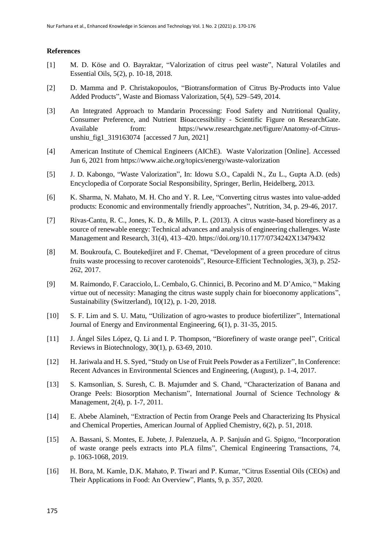## **References**

- [1] M. D. Köse and O. Bayraktar, "Valorization of citrus peel waste", Natural Volatiles and Essential Oils, 5(2), p. 10-18, 2018.
- [2] D. Mamma and P. Christakopoulos, "Biotransformation of Citrus By-Products into Value Added Products", Waste and Biomass Valorization, 5(4), 529–549, 2014.
- [3] An Integrated Approach to Mandarin Processing: Food Safety and Nutritional Quality, Consumer Preference, and Nutrient Bioaccessibility - Scientific Figure on ResearchGate. Available from: [https://www.researchgate.net/figure/Anatomy-of-Citrus](https://www.researchgate.net/figure/Anatomy-of-Citrus-unshiu_fig1_319163074)[unshiu\\_fig1\\_319163074](https://www.researchgate.net/figure/Anatomy-of-Citrus-unshiu_fig1_319163074) [accessed 7 Jun, 2021]
- [4] American Institute of Chemical Engineers (AIChE). Waste Valorization [Online]. Accessed Jun 6, 2021 from<https://www.aiche.org/topics/energy/waste-valorization>
- [5] J. D. Kabongo, "Waste Valorization", In: Idowu S.O., Capaldi N., Zu L., Gupta A.D. (eds) Encyclopedia of Corporate Social Responsibility, Springer, Berlin, Heidelberg, 2013.
- [6] K. Sharma, N. Mahato, M. H. Cho and Y. R. Lee, "Converting citrus wastes into value-added products: Economic and environmentally friendly approaches", Nutrition, 34, p. 29-46, 2017.
- [7] Rivas-Cantu, R. C., Jones, K. D., & Mills, P. L. (2013). A citrus waste-based biorefinery as a source of renewable energy: Technical advances and analysis of engineering challenges. Waste Management and Research, 31(4), 413–420.<https://doi.org/10.1177/0734242X13479432>
- [8] M. Boukroufa, C. Boutekedjiret and F. Chemat, "Development of a green procedure of citrus fruits waste processing to recover carotenoids", Resource-Efficient Technologies, 3(3), p. 252- 262, 2017.
- [9] M. Raimondo, F. Caracciolo, L. Cembalo, G. Chinnici, B. Pecorino and M. D'Amico, " Making virtue out of necessity: Managing the citrus waste supply chain for bioeconomy applications", Sustainability (Switzerland), 10(12), p. 1-20, 2018.
- [10] S. F. Lim and S. U. Matu, "Utilization of agro-wastes to produce biofertilizer", International Journal of Energy and Environmental Engineering, 6(1), p. 31-35, 2015.
- [11] J. Ángel Siles López, Q. Li and I. P. Thompson, "Biorefinery of waste orange peel", Critical Reviews in Biotechnology, 30(1), p. 63-69, 2010.
- [12] H. Jariwala and H. S. Syed, "Study on Use of Fruit Peels Powder as a Fertilizer", In Conference: Recent Advances in Environmental Sciences and Engineering, (August), p. 1-4, 2017.
- [13] S. Kamsonlian, S. Suresh, C. B. Majumder and S. Chand, "Characterization of Banana and Orange Peels: Biosorption Mechanism", International Journal of Science Technology & Management, 2(4), p. 1-7, 2011.
- [14] E. Abebe Alamineh, "Extraction of Pectin from Orange Peels and Characterizing Its Physical and Chemical Properties, American Journal of Applied Chemistry, 6(2), p. 51, 2018.
- [15] A. Bassani, S. Montes, E. Jubete, J. Palenzuela, A. P. Sanjuán and G. Spigno, "Incorporation of waste orange peels extracts into PLA films", Chemical Engineering Transactions, 74, p. 1063-1068, 2019.
- [16] H. Bora, M. Kamle, D.K. Mahato, P. Tiwari and P. Kumar, "Citrus Essential Oils (CEOs) and Their Applications in Food: An Overview", Plants, 9, p. 357, 2020.